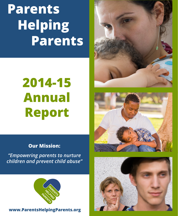**Parents Helping Parents**

# **2014-15 Annual Report**

#### **Our Mission:**

*"Empowering parents to nurture children and prevent child abuse"*



#### **www.ParentsHelpingParents.org**





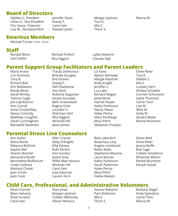#### **Board of Directors**

Debbie S., *President*  Lillian A., *Vice-President* Piro Sassa, *Treasurer*  Lisa W., *Secretary/Clerk* 

Jennifer Davis Stacey F. Carol Izen Stewart lester

Margie Lipshutz Toni R. Mia S. Thom S.

Marcia W.

#### **Emeritus Members**

Michael Turner (1925 - 2015)

#### **Staff**

Randall Block Lee Colello

Michael Freilich Rita Higgins

Lalita Nakarmi Claudia Vigil

#### **Parent Support Group Facilitators and Parent Leaders**

Maria Arana Lori Aronivitz Tony B. Richard Bail Kim Baldasaro Randy Block Sarah Brinley Tammy Cagle Joe Capobianco Ann Carroll Anne Chudnofsky Nancy Connolly Matthew Coughlin Sarah Cunningham Rachaelle Deamato Tracey Delmonico Brenda Douglas Eve Eisman Stacey F. Neil Gladstone Ann Glick Roberta Goganian Hicela Gonzalez Beth Greenawalt Regina Grier Lourdes H. Sherman Hart Rita Higgins Miranda Hill Janet James

Liz Kane Alyson Kennedy Margie Klayman Andy Knight Jennifer L. Luz Labo Richard Magan Janet Mock Harriet Noyes Kathy Parkinson Nancy Peace Haley Penny Mara Pentlarge Mary Piltch Sebastian Putzeys Drew Ritter Toni R. Debbie S. Mia S. Luzdary Sarri Shelley Schaefer Carmen Schumann Ivette Thomson Carrie Toon Lisa W. Mike W. Anita W. Sandra Wade Rachel Wurtman

#### **Parental Stress Line Counselors**

Ann Aubin Alana Barlia Rebecca Birkholz Sophie Bell Sharon Brecher Alexandra Booth Bernadette Bullistrum Linda Carbone Maitreyi Choski Jean Conlin Jean Cook

Ellen Crystal Abby D'Angelo Ellie Edraos Ruth Ehrlich Ami Gordon Jackie Gray Willie Mae Hanson Miranda Hill Carol Izen Julia Katzman Lauren Korn

Bela Labovitch Rosemary Levy Angelo Lombardo Robin Maltz Stephanie Messina Laura Munier Kathy Parkinson Sarah Parkinson Haley Penny Mary Piltch Hailee Reeves

Diane Reid Drew Ritter Jessica Roffe Bob Sage Colleen Smaldone Britannie Wilson Rachel Wurtman Deryal Yuksel

#### **Child Care, Professional, and Administrative Volunteers**

Rose Charrier Mary Hatvany Rose Hurwitz Carol Izen

Alan Jones Margie Lipshutz Colleen Mahoney Allison Miracco

Saurav Nakarmi Pam Robinson Mia S. Thom S.

Barbara Siegel Anita Spendora Carrie Toon Marcia W.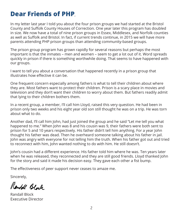### **Dear Friends of PHP**,

In my letter last year I told you about the four prison groups we had started at the Bristol County and Suffolk County Houses of Correction. One year later this program has doubled in size. We now have a total of nine prison groups in Essex, Middlesex, and Norfolk counties as well as Suffolk and Bristol. In fact, if current trends continue, in 2015 we will have more parents attending PHP prison groups than attending community-based groups.

The prison group program has grown rapidly for several reasons but perhaps the most important is that the inmates – men and women – seem to get a lot out of it. Word spreads quickly in prison if there is something worthwhile doing. That seems to have happened with our groups.

I want to tell you about a conversation that happened recently in a prison group that illustrates how effective it can be.

One frequent concern especially among fathers is what to tell their children about where they are. Most fathers want to protect their children. Prison is a scary place in movies and television and they don't want their children to worry about them. But fathers readily admit that lying to their children bothers them.

In a recent group, a member, I'll call him Lloyd, raised this very question. He had been in prison only two weeks and his eight year old son still thought he was on a trip. He was torn about what to do.

Another dad, I'll call him John, had just joined the group and he said "Let me tell you what happened to me." When John was 8 and his cousin was 9, their fathers were both sent to prison for 5 and 10 years respectively. His father didn't tell him anything. For a year John thought his father was dead. Then he overheard someone talking about his father in jail. John was angry with everyone for not telling him the truth. When his father got out and tried to reconnect with him, John wanted nothing to do with him. He still doesn't.

John's cousin had a different experience. His father told him where he was. Ten years later when he was released, they reconnected and they are still good friends. Lloyd thanked John for the story and said it made his decision easy. They gave each other a fist bump.

The effectiveness of peer support never ceases to amaze me.

Sincerely,

Randoll Block

Randall Block Executive Director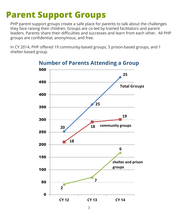### **Parent Support Groups**

PHP parent support groups create a safe place for parents to talk about the challenges they face raising their children. Groups are co-led by trained facilitators and parent leaders. Parents share their difficulties and successes and learn from each other. All PHP groups are confidential, anonymous, and free.

In CY 2014, PHP offered 19 community-based groups, 5 prison-based groups, and 1 shelter-based group.



**Number of Parents Attending a Group**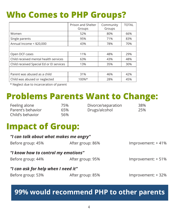## **Who Comes to PHP Groups?**

|                                          | Prison and Shelter<br>Groups | Community<br>Groups | <b>TOTAL</b> |
|------------------------------------------|------------------------------|---------------------|--------------|
| Women                                    | 52%                          | 80%                 | 66%          |
| Single parents                           | 95%                          | 71%                 | 83%          |
| Annual Income < \$20,000                 | 43%                          | 78%                 | 70%          |
|                                          |                              |                     |              |
| Open DCF cases                           | 11%                          | 48%                 | 29%          |
| Child received mental health services    | 63%                          | 43%                 | 48%          |
| Child received Special Ed or El services | 13%                          | 35%                 | 30%          |
|                                          |                              |                     |              |
| Parent was abused as a child             | 31%                          | 46%                 | 42%          |
| Child was abused or neglected            | $100\%*$                     | 28%                 | 45%          |

\* Neglect due to incarceration of parent

## **Problems Parents Want to Change:**

| Feeling alone     | 75%  | Divorce/separation | 38% |
|-------------------|------|--------------------|-----|
| Parent's behavior | 65%  | Drugs/alcohol      | 25% |
| Child's behavior  | .56% |                    |     |

### **Impact of Group:**

| "I can talk about what makes me angry" |                  |                    |
|----------------------------------------|------------------|--------------------|
| Before group: 45%                      | After group: 86% | Improvement: +41%  |
| "I know how to control my emotions"    |                  |                    |
| Before group: 44%                      | After group: 95% | Improvement: +51%  |
| "I can ask for help when I need it"    |                  |                    |
| Before group: 53%                      | After group: 85% | Improvement: + 32% |
|                                        |                  |                    |

### **99% would recommend PHP to other parents**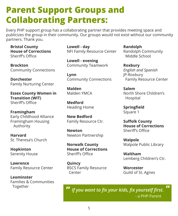### **Parent Support Groups and Collaborating Partners:**

Every PHP support group has a collaborating partner that provides meeting space and publicizes the group in their community. Our groups would not exist without our community partners. Thank you.

**Bristol County House of Corrections**  Sheriff's Office

**Brockton** Community Connections

**Dorchester** Family Nurturing Center

**Essex County Women in Transition (WIT)** Sheriff's Office

**Framingham** Early Childhood Alliance Framingham Housing Authority

**Harvard** St. Theresa's Church

**Hopkinton** Serenity House

**Lawrence** Family Resource Center

**Leominster** Families & Communities Together

**Lowell - day** NFI Family Resource Center

**Lowell - evening** Community Teamwork

**Lynn** Community Connections

**Malden** Malden YMCA

**Medford** Heading Home

**New Bedford**  Family Resource Ctr.

**Newton** Newton Partnership

**Norwalk County House of Corrections** Sheriff's Office

**Quincy** BSCS Family Resource Center

**"**

**Randolph** Randolph Community Middle School

**Roxbury** *English and Spanish* JP-Roxbury Family Resource Center

**Salem** North Shore Children's Hospital

**Springfield** Square 1

**Suffolk County House of Corrections** Sheriff's Office

**Walpole** Walpole Public Library

**Waltham** Lemberg Children's Ctr.

**"**

**Worcester** Guild of St. Agnes

*If you want to fix your kids, fix yourself first.* - a PHP Parent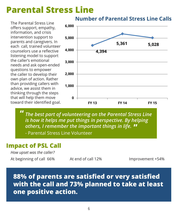#### **Parental Stress Line** dess line

The Parental Stress Line offers support, empathy, information, and crisis intervention support to parents and caregivers. In each call, trained volunteer counselors use a reflective listening model to support the caller's emotional needs and ask open-ended questions to empower the caller to develop their own plan of action. Rather than providing callers with advice, we assist them in thinking through the steps that will help them move toward their identified goal.



**The best part of volunteering on the Parental Stress Line** *Hic best part of volunteering on the rarental stress Ellie*<br>is how it helps me put things in perspective. By helping  $\mu$  beginning the perspective. By neight others, I remember the important things in life. **" "**

- Parental Stress Line Volunteer <sub>- 1</sub>

#### Parent was satisfied or very satisfied with call. 88% **Impact of PSL Call**

*How upset was the caller?* At beginning of call 66% At end of call 12% Improvement +54%

### **88% of parents are satisfied or very satisfied with the call and 73% planned to take at least one positive action.**

#### **Number of Parental Stress Line Calls**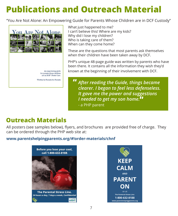## **Publications and Outreach Material**

"You Are Not Alone: An Empowering Guide for Parents Whose Children are in DCF Custody"



What just happened to me? I can't believe this! Where are my kids? Why did I lose my children? Who is taking care of them? When can they come home?

These are the questions that most parents ask themselves when their children have been taken away by DCF.

PHP's unique 48-page guide was written by parents who have been there. It contains all the information they wish they'd known at the beginning of their involvement with DCF.

*After reading the Guide, things became clearer. I began to feel less defenseless. It gave me the power and suggestions I needed to get my son home.*  **""**

- a PHP parent

### **Outreach Materials**

All posters (see samples below), flyers, and brochures are provided free of charge. They can be ordered through the PHP web site at:

#### **www.parentshelpingparents.org/#!order-materials/chnf**



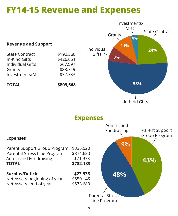### **FY14-15 Revenue and Expenses**

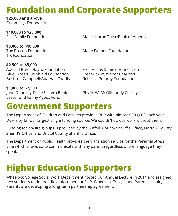## **Foundation and Corporate Supporters**

**\$25,000 and above** Cummings Foundation

**\$10,000 to \$25,000**

Mahel Horne Trust/Bank of America

**\$5,000 to \$10,000 TIX Foundation** 

The Boston Foundation Matty Eappen Foundation

**\$2,500 to \$5,000** Adelaid Breed Bayrd Foundation Fred Harris Daniels Foundation Blue Cross/Blue Shield Foundation Frederick W. Weber Charities Bushrod Campbell/Ada Hall Charity Rebecca Pomroy Foundation

**\$1,000 to \$2,500** John Donnelly Trust/Eastern Bank Phyllis W. McGillicuddy Charity Lassor and Fanny Agoos Fund

### **Government Supporters**

The Department of Children and Families provides PHP with almost \$200,000 each year. DCF is by far our largest single funding source. We couldn't do our work without them.

Funding for on-site groups is provided by the Suffolk County Sheriff's Office, Norfolk County Sheriff's Office, and Bristol County Sheriff's Office.

The Department of Public Health provides the translation service for the Parental Stress Line which allows us to communicate with any parent regardless of the language they speak.

## **Higher Education Supporters**

Wheelock College Social Work Department hosted our Annual Lecture in 2014 and assigned two students to do their field placement at PHP. Wheelock College and Parents Helping Parents are developing a long-term partnership agreement.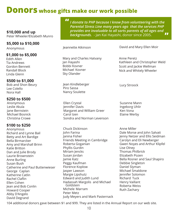### **Donors whose gifts make our work possible**

#### **\$10,000 and up** Peter Wheeler/Elizabeth Munro

#### **\$5,000 to \$10,000**

#### **\$1,000 to \$5,000**

Edith Allen Tia Andrews Gordon Bennett Randall Block Linda Glenn

#### **\$500 to \$1,000**

Bob and Shon Beury Lee Colello Nora Hall

#### **\$250 to \$500**

Anonymous Leslie Akula Jane Bernstein Michael Bosnick Christina Crowe

#### **\$100 to \$250**

Anonymous Richard and Lynne Bail Betty and Art Bardige Bella Birmarcker Amy and Marshall Brinn Katie Britton Dan and Julie Brody Laurie Brownstein Anne Burling Susan Bush Catherine and Paul Buttenwieser George Caplan Katherine Catlin Rachel Claflin Ellen Cohen Jean and Bob Conlin Howard Cooper Abby D'Angelo David Degrand

*I donate to PHP because I know from volunteering with the Parental Stress Line many years ago that the services PHP provides are invaluable to all sorts parents of all ages and backgrounds.* - Jan Kai Hayashi, donor since 2005. **" "**

Anonymous Jeannette Atkinson David and Mary Ellen Moir

Kathleen and Christopher Weld Scott and Jackie Wellman Nick and Whitely Wheeler

Mary and Charles Hatvany Jan Hayashi Bobbi Kovner Michael Kovner Sky Olander

Jean Kindleberger Piro Sassa Nancy Soulette

Ellen Crystal Jennifer Davis Margaret and William Greer Carol Izen Sondra and Norman Levenson

Chuck Dickinson John Farina Janina Fisher Friends Meeting in Cambridge Roberta Goganian Phyllis Gurdin Miriam Jencks Susan Jordan Jamie Katz Peggy Kaufman Florence Koplow Jasper Lawson Margie Lipshutz Edward and Judith Lund Hadassah Margolis and Michael Goldstein Michele Marram Peter Metz Judy Meyers and Mark Pasternack

Anne Peretz

Lucy Stroock

Suzanne Mann Ingeborg Uhlir Ken Vona Elaine Werby

Anne Miller Dale Morse and John Salvati Jenny Netzer and Ellis Seidman Carolyn and Eli Newberger Gwen Noyes and Arthur Klipfel Lise Olney Thomas Philbrick Elizabeth Pozen Bella Rosner and Saul Shapiro Debbie Singleton Daniel Slyman Michael Smaldone Jennifer Solomon Richard Tuck Henry Vaillant Roberta Weiss Ruth Zachary

104 additional donors gave between \$1 and \$99. They are listed in the Annual Report on our web site.